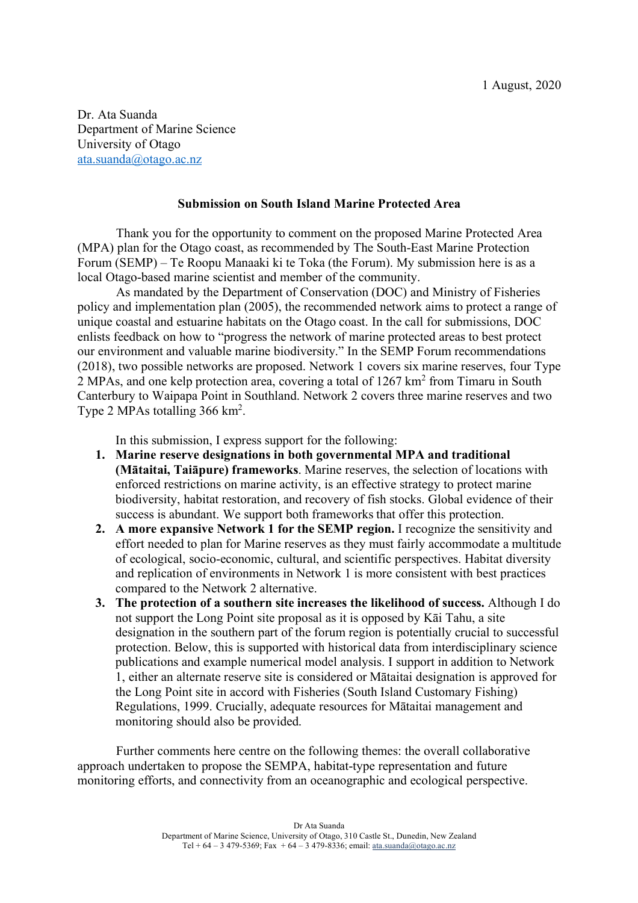Dr. Ata Suanda Department of Marine Science University of Otago ata.suanda@otago.ac.nz

### **Submission on South Island Marine Protected Area**

Thank you for the opportunity to comment on the proposed Marine Protected Area (MPA) plan for the Otago coast, as recommended by The South-East Marine Protection Forum (SEMP) – Te Roopu Manaaki ki te Toka (the Forum). My submission here is as a local Otago-based marine scientist and member of the community.

As mandated by the Department of Conservation (DOC) and Ministry of Fisheries policy and implementation plan (2005), the recommended network aims to protect a range of unique coastal and estuarine habitats on the Otago coast. In the call for submissions, DOC enlists feedback on how to "progress the network of marine protected areas to best protect our environment and valuable marine biodiversity." In the SEMP Forum recommendations (2018), two possible networks are proposed. Network 1 covers six marine reserves, four Type 2 MPAs, and one kelp protection area, covering a total of 1267 km2 from Timaru in South Canterbury to Waipapa Point in Southland. Network 2 covers three marine reserves and two Type 2 MPAs totalling 366 km<sup>2</sup>.

In this submission, I express support for the following:

- **1. Marine reserve designations in both governmental MPA and traditional (Mātaitai, Taiāpure) frameworks**. Marine reserves, the selection of locations with enforced restrictions on marine activity, is an effective strategy to protect marine biodiversity, habitat restoration, and recovery of fish stocks. Global evidence of their success is abundant. We support both frameworks that offer this protection.
- **2. A more expansive Network 1 for the SEMP region.** I recognize the sensitivity and effort needed to plan for Marine reserves as they must fairly accommodate a multitude of ecological, socio-economic, cultural, and scientific perspectives. Habitat diversity and replication of environments in Network 1 is more consistent with best practices compared to the Network 2 alternative.
- **3. The protection of a southern site increases the likelihood of success.** Although I do not support the Long Point site proposal as it is opposed by Kāi Tahu, a site designation in the southern part of the forum region is potentially crucial to successful protection. Below, this is supported with historical data from interdisciplinary science publications and example numerical model analysis. I support in addition to Network 1, either an alternate reserve site is considered or Mātaitai designation is approved for the Long Point site in accord with Fisheries (South Island Customary Fishing) Regulations, 1999. Crucially, adequate resources for Mātaitai management and monitoring should also be provided.

Further comments here centre on the following themes: the overall collaborative approach undertaken to propose the SEMPA, habitat-type representation and future monitoring efforts, and connectivity from an oceanographic and ecological perspective.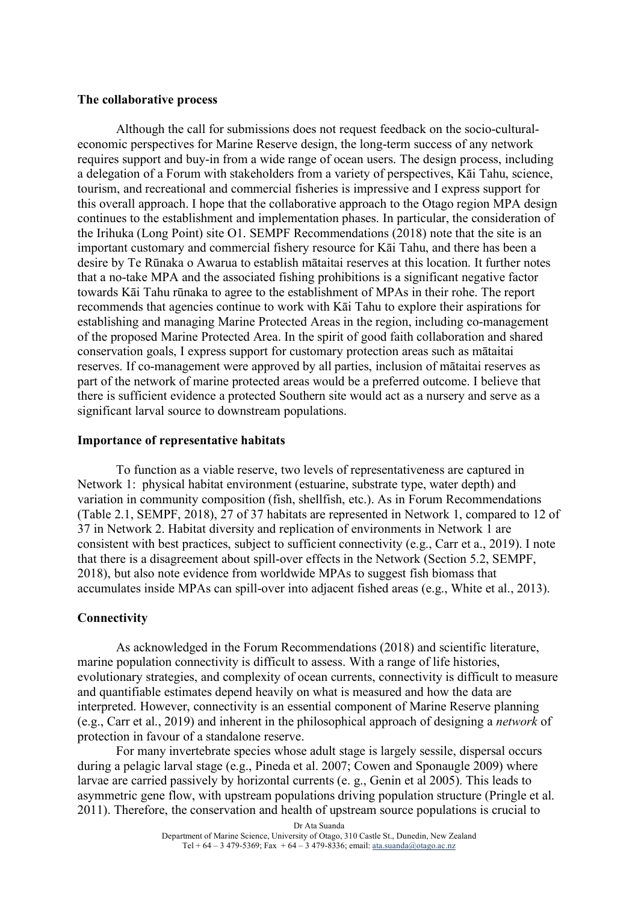### **The collaborative process**

Although the call for submissions does not request feedback on the socio-culturaleconomic perspectives for Marine Reserve design, the long-term success of any network requires support and buy-in from a wide range of ocean users. The design process, including a delegation of a Forum with stakeholders from a variety of perspectives, Kāi Tahu, science, tourism, and recreational and commercial fisheries is impressive and I express support for this overall approach. I hope that the collaborative approach to the Otago region MPA design continues to the establishment and implementation phases. In particular, the consideration of the Irihuka (Long Point) site O1. SEMPF Recommendations (2018) note that the site is an important customary and commercial fishery resource for Kāi Tahu, and there has been a desire by Te Rūnaka o Awarua to establish mātaitai reserves at this location. It further notes that a no-take MPA and the associated fishing prohibitions is a significant negative factor towards Kāi Tahu rūnaka to agree to the establishment of MPAs in their rohe. The report recommends that agencies continue to work with Kāi Tahu to explore their aspirations for establishing and managing Marine Protected Areas in the region, including co-management of the proposed Marine Protected Area. In the spirit of good faith collaboration and shared conservation goals, I express support for customary protection areas such as mātaitai reserves. If co-management were approved by all parties, inclusion of mātaitai reserves as part of the network of marine protected areas would be a preferred outcome. I believe that there is sufficient evidence a protected Southern site would act as a nursery and serve as a significant larval source to downstream populations.

# **Importance of representative habitats**

To function as a viable reserve, two levels of representativeness are captured in Network 1: physical habitat environment (estuarine, substrate type, water depth) and variation in community composition (fish, shellfish, etc.). As in Forum Recommendations (Table 2.1, SEMPF, 2018), 27 of 37 habitats are represented in Network 1, compared to 12 of 37 in Network 2. Habitat diversity and replication of environments in Network 1 are consistent with best practices, subject to sufficient connectivity (e.g., Carr et a., 2019). I note that there is a disagreement about spill-over effects in the Network (Section 5.2, SEMPF, 2018), but also note evidence from worldwide MPAs to suggest fish biomass that accumulates inside MPAs can spill-over into adjacent fished areas (e.g., White et al., 2013).

# **Connectivity**

As acknowledged in the Forum Recommendations (2018) and scientific literature, marine population connectivity is difficult to assess. With a range of life histories, evolutionary strategies, and complexity of ocean currents, connectivity is difficult to measure and quantifiable estimates depend heavily on what is measured and how the data are interpreted. However, connectivity is an essential component of Marine Reserve planning (e.g., Carr et al., 2019) and inherent in the philosophical approach of designing a *network* of protection in favour of a standalone reserve.

For many invertebrate species whose adult stage is largely sessile, dispersal occurs during a pelagic larval stage (e.g., Pineda et al. 2007; Cowen and Sponaugle 2009) where larvae are carried passively by horizontal currents (e. g., Genin et al 2005). This leads to asymmetric gene flow, with upstream populations driving population structure (Pringle et al. 2011). Therefore, the conservation and health of upstream source populations is crucial to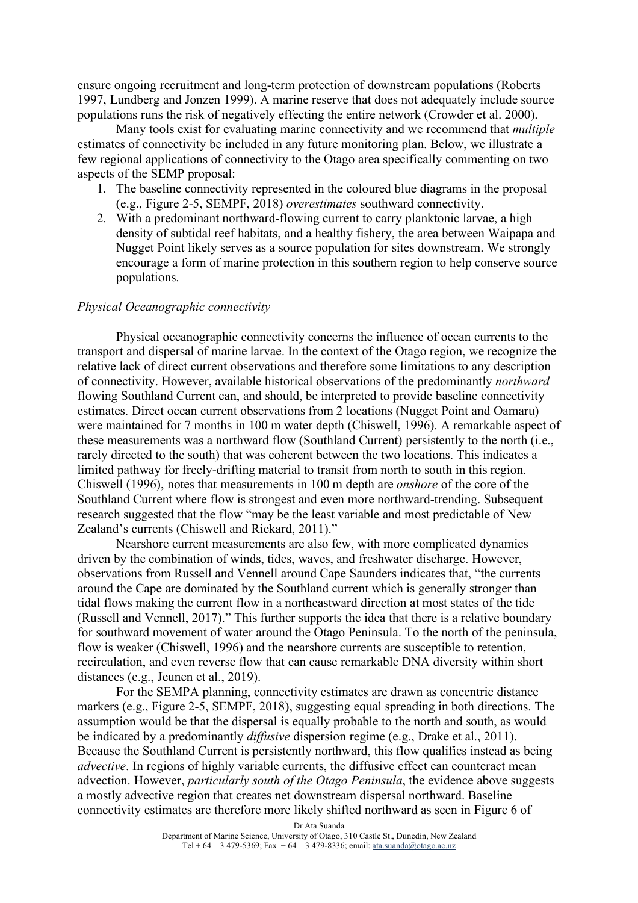ensure ongoing recruitment and long-term protection of downstream populations (Roberts 1997, Lundberg and Jonzen 1999). A marine reserve that does not adequately include source populations runs the risk of negatively effecting the entire network (Crowder et al. 2000).

Many tools exist for evaluating marine connectivity and we recommend that *multiple* estimates of connectivity be included in any future monitoring plan. Below, we illustrate a few regional applications of connectivity to the Otago area specifically commenting on two aspects of the SEMP proposal:

- 1. The baseline connectivity represented in the coloured blue diagrams in the proposal (e.g., Figure 2-5, SEMPF, 2018) *overestimates* southward connectivity.
- 2. With a predominant northward-flowing current to carry planktonic larvae, a high density of subtidal reef habitats, and a healthy fishery, the area between Waipapa and Nugget Point likely serves as a source population for sites downstream. We strongly encourage a form of marine protection in this southern region to help conserve source populations.

## *Physical Oceanographic connectivity*

Physical oceanographic connectivity concerns the influence of ocean currents to the transport and dispersal of marine larvae. In the context of the Otago region, we recognize the relative lack of direct current observations and therefore some limitations to any description of connectivity. However, available historical observations of the predominantly *northward* flowing Southland Current can, and should, be interpreted to provide baseline connectivity estimates. Direct ocean current observations from 2 locations (Nugget Point and Oamaru) were maintained for 7 months in 100 m water depth (Chiswell, 1996). A remarkable aspect of these measurements was a northward flow (Southland Current) persistently to the north (i.e., rarely directed to the south) that was coherent between the two locations. This indicates a limited pathway for freely-drifting material to transit from north to south in this region. Chiswell (1996), notes that measurements in 100 m depth are *onshore* of the core of the Southland Current where flow is strongest and even more northward-trending. Subsequent research suggested that the flow "may be the least variable and most predictable of New Zealand's currents (Chiswell and Rickard, 2011)."

Nearshore current measurements are also few, with more complicated dynamics driven by the combination of winds, tides, waves, and freshwater discharge. However, observations from Russell and Vennell around Cape Saunders indicates that, "the currents around the Cape are dominated by the Southland current which is generally stronger than tidal flows making the current flow in a northeastward direction at most states of the tide (Russell and Vennell, 2017)." This further supports the idea that there is a relative boundary for southward movement of water around the Otago Peninsula. To the north of the peninsula, flow is weaker (Chiswell, 1996) and the nearshore currents are susceptible to retention, recirculation, and even reverse flow that can cause remarkable DNA diversity within short distances (e.g., Jeunen et al., 2019).

For the SEMPA planning, connectivity estimates are drawn as concentric distance markers (e.g., Figure 2-5, SEMPF, 2018), suggesting equal spreading in both directions. The assumption would be that the dispersal is equally probable to the north and south, as would be indicated by a predominantly *diffusive* dispersion regime (e.g., Drake et al., 2011). Because the Southland Current is persistently northward, this flow qualifies instead as being *advective*. In regions of highly variable currents, the diffusive effect can counteract mean advection. However, *particularly south of the Otago Peninsula*, the evidence above suggests a mostly advective region that creates net downstream dispersal northward. Baseline connectivity estimates are therefore more likely shifted northward as seen in Figure 6 of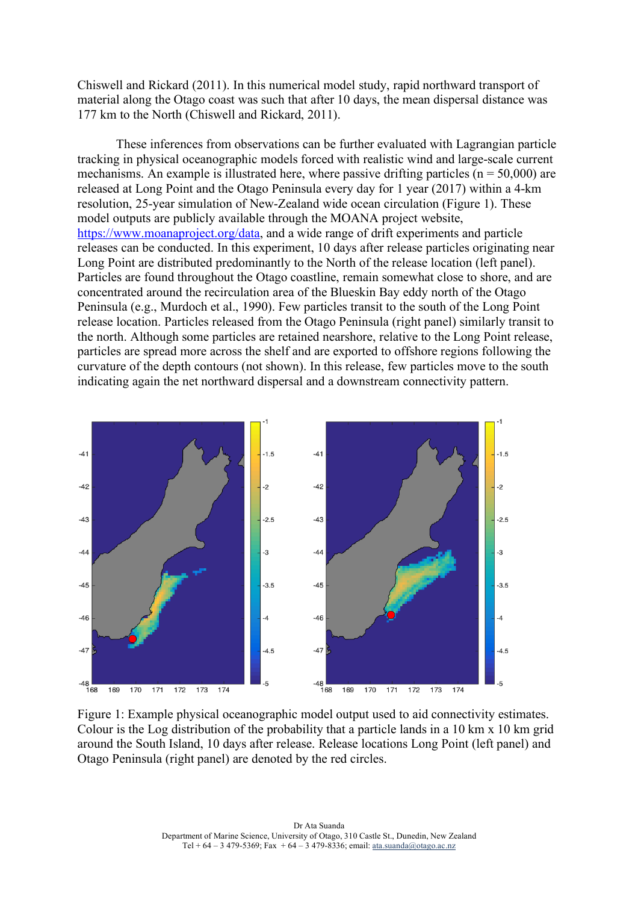Chiswell and Rickard (2011). In this numerical model study, rapid northward transport of material along the Otago coast was such that after 10 days, the mean dispersal distance was 177 km to the North (Chiswell and Rickard, 2011).

These inferences from observations can be further evaluated with Lagrangian particle tracking in physical oceanographic models forced with realistic wind and large-scale current mechanisms. An example is illustrated here, where passive drifting particles ( $n = 50,000$ ) are released at Long Point and the Otago Peninsula every day for 1 year (2017) within a 4-km resolution, 25-year simulation of New-Zealand wide ocean circulation (Figure 1). These model outputs are publicly available through the MOANA project website, https://www.moanaproject.org/data, and a wide range of drift experiments and particle releases can be conducted. In this experiment, 10 days after release particles originating near Long Point are distributed predominantly to the North of the release location (left panel). Particles are found throughout the Otago coastline, remain somewhat close to shore, and are concentrated around the recirculation area of the Blueskin Bay eddy north of the Otago Peninsula (e.g., Murdoch et al., 1990). Few particles transit to the south of the Long Point release location. Particles released from the Otago Peninsula (right panel) similarly transit to the north. Although some particles are retained nearshore, relative to the Long Point release, particles are spread more across the shelf and are exported to offshore regions following the curvature of the depth contours (not shown). In this release, few particles move to the south indicating again the net northward dispersal and a downstream connectivity pattern.



Figure 1: Example physical oceanographic model output used to aid connectivity estimates. Colour is the Log distribution of the probability that a particle lands in a 10 km x 10 km grid around the South Island, 10 days after release. Release locations Long Point (left panel) and Otago Peninsula (right panel) are denoted by the red circles.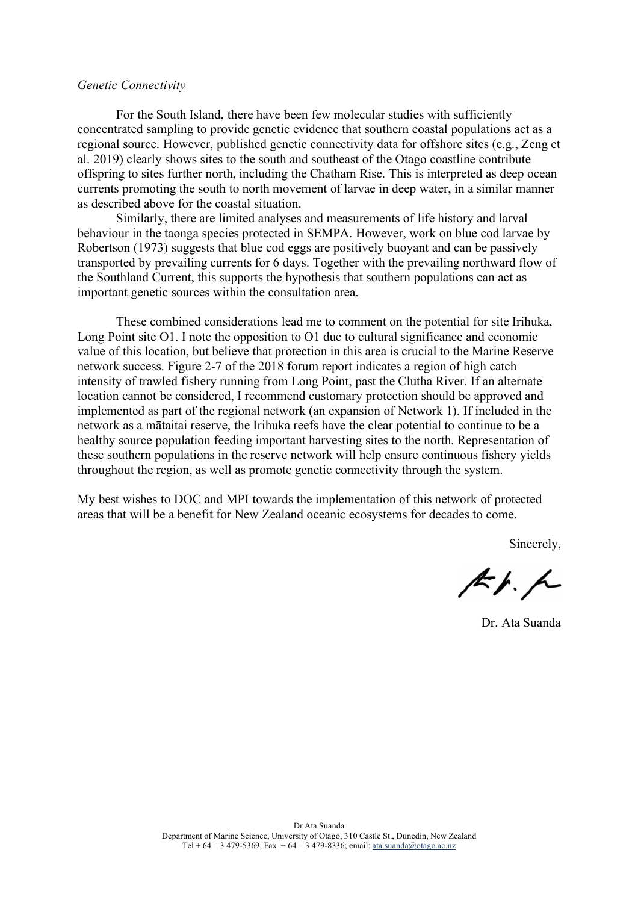#### *Genetic Connectivity*

For the South Island, there have been few molecular studies with sufficiently concentrated sampling to provide genetic evidence that southern coastal populations act as a regional source. However, published genetic connectivity data for offshore sites (e.g., Zeng et al. 2019) clearly shows sites to the south and southeast of the Otago coastline contribute offspring to sites further north, including the Chatham Rise. This is interpreted as deep ocean currents promoting the south to north movement of larvae in deep water, in a similar manner as described above for the coastal situation.

Similarly, there are limited analyses and measurements of life history and larval behaviour in the taonga species protected in SEMPA. However, work on blue cod larvae by Robertson (1973) suggests that blue cod eggs are positively buoyant and can be passively transported by prevailing currents for 6 days. Together with the prevailing northward flow of the Southland Current, this supports the hypothesis that southern populations can act as important genetic sources within the consultation area.

These combined considerations lead me to comment on the potential for site Irihuka, Long Point site O1. I note the opposition to O1 due to cultural significance and economic value of this location, but believe that protection in this area is crucial to the Marine Reserve network success. Figure 2-7 of the 2018 forum report indicates a region of high catch intensity of trawled fishery running from Long Point, past the Clutha River. If an alternate location cannot be considered, I recommend customary protection should be approved and implemented as part of the regional network (an expansion of Network 1). If included in the network as a mātaitai reserve, the Irihuka reefs have the clear potential to continue to be a healthy source population feeding important harvesting sites to the north. Representation of these southern populations in the reserve network will help ensure continuous fishery yields throughout the region, as well as promote genetic connectivity through the system.

My best wishes to DOC and MPI towards the implementation of this network of protected areas that will be a benefit for New Zealand oceanic ecosystems for decades to come.

Sincerely,

 $k/4$ 

Dr. Ata Suanda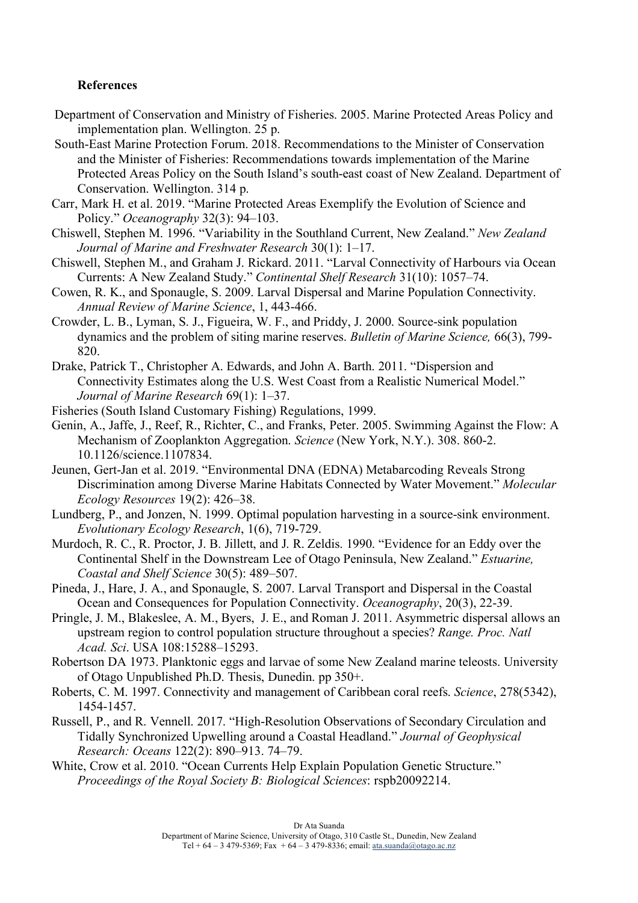# **References**

- Department of Conservation and Ministry of Fisheries. 2005. Marine Protected Areas Policy and implementation plan. Wellington. 25 p.
- South-East Marine Protection Forum. 2018. Recommendations to the Minister of Conservation and the Minister of Fisheries: Recommendations towards implementation of the Marine Protected Areas Policy on the South Island's south-east coast of New Zealand. Department of Conservation. Wellington. 314 p.
- Carr, Mark H. et al. 2019. "Marine Protected Areas Exemplify the Evolution of Science and Policy." *Oceanography* 32(3): 94–103.
- Chiswell, Stephen M. 1996. "Variability in the Southland Current, New Zealand." *New Zealand Journal of Marine and Freshwater Research* 30(1): 1–17.
- Chiswell, Stephen M., and Graham J. Rickard. 2011. "Larval Connectivity of Harbours via Ocean Currents: A New Zealand Study." *Continental Shelf Research* 31(10): 1057–74.
- Cowen, R. K., and Sponaugle, S. 2009. Larval Dispersal and Marine Population Connectivity. *Annual Review of Marine Science*, 1, 443-466.
- Crowder, L. B., Lyman, S. J., Figueira, W. F., and Priddy, J. 2000. Source-sink population dynamics and the problem of siting marine reserves. *Bulletin of Marine Science,* 66(3), 799- 820.
- Drake, Patrick T., Christopher A. Edwards, and John A. Barth. 2011. "Dispersion and Connectivity Estimates along the U.S. West Coast from a Realistic Numerical Model." *Journal of Marine Research* 69(1): 1–37.
- Fisheries (South Island Customary Fishing) Regulations, 1999.
- Genin, A., Jaffe, J., Reef, R., Richter, C., and Franks, Peter. 2005. Swimming Against the Flow: A Mechanism of Zooplankton Aggregation. *Science* (New York, N.Y.). 308. 860-2. 10.1126/science.1107834.
- Jeunen, Gert-Jan et al. 2019. "Environmental DNA (EDNA) Metabarcoding Reveals Strong Discrimination among Diverse Marine Habitats Connected by Water Movement." *Molecular Ecology Resources* 19(2): 426–38.
- Lundberg, P., and Jonzen, N. 1999. Optimal population harvesting in a source-sink environment. *Evolutionary Ecology Research*, 1(6), 719-729.
- Murdoch, R. C., R. Proctor, J. B. Jillett, and J. R. Zeldis. 1990. "Evidence for an Eddy over the Continental Shelf in the Downstream Lee of Otago Peninsula, New Zealand." *Estuarine, Coastal and Shelf Science* 30(5): 489–507.
- Pineda, J., Hare, J. A., and Sponaugle, S. 2007. Larval Transport and Dispersal in the Coastal Ocean and Consequences for Population Connectivity. *Oceanography*, 20(3), 22-39.
- Pringle, J. M., Blakeslee, A. M., Byers, J. E., and Roman J. 2011. Asymmetric dispersal allows an upstream region to control population structure throughout a species? *Range. Proc. Natl Acad. Sci*. USA 108:15288–15293.
- Robertson DA 1973. Planktonic eggs and larvae of some New Zealand marine teleosts. University of Otago Unpublished Ph.D. Thesis, Dunedin. pp 350+.
- Roberts, C. M. 1997. Connectivity and management of Caribbean coral reefs. *Science*, 278(5342), 1454-1457.
- Russell, P., and R. Vennell. 2017. "High-Resolution Observations of Secondary Circulation and Tidally Synchronized Upwelling around a Coastal Headland." *Journal of Geophysical Research: Oceans* 122(2): 890–913. 74–79.
- White, Crow et al. 2010. "Ocean Currents Help Explain Population Genetic Structure." *Proceedings of the Royal Society B: Biological Sciences*: rspb20092214.